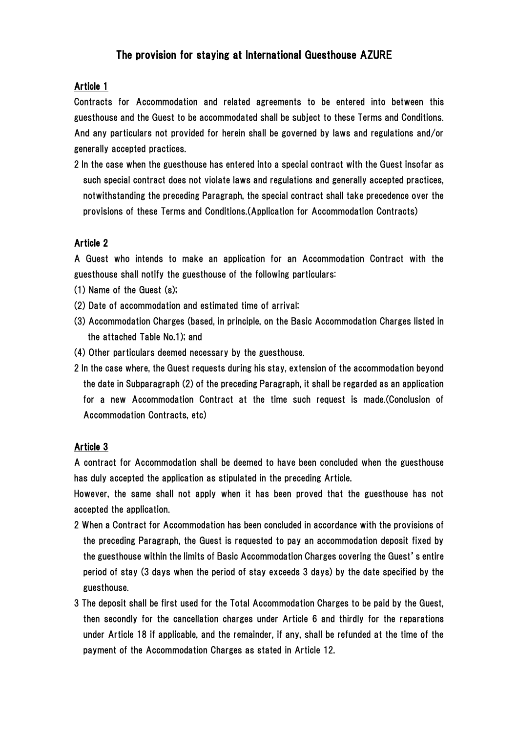# The provision for staying at International Guesthouse AZURE

### Article 1

Contracts for Accommodation and related agreements to be entered into between this guesthouse and the Guest to be accommodated shall be subject to these Terms and Conditions. And any particulars not provided for herein shall be governed by laws and regulations and/or generally accepted practices.

2 In the case when the guesthouse has entered into a special contract with the Guest insofar as such special contract does not violate laws and regulations and generally accepted practices, notwithstanding the preceding Paragraph, the special contract shall take precedence over the provisions of these Terms and Conditions.(Application for Accommodation Contracts)

### Article 2

A Guest who intends to make an application for an Accommodation Contract with the guesthouse shall notify the guesthouse of the following particulars:

- (1) Name of the Guest (s);
- (2) Date of accommodation and estimated time of arrival;
- (3) Accommodation Charges (based, in principle, on the Basic Accommodation Charges listed in the attached Table No.1); and
- (4) Other particulars deemed necessary by the guesthouse.
- 2 In the case where, the Guest requests during his stay, extension of the accommodation beyond the date in Subparagraph (2) of the preceding Paragraph, it shall be regarded as an application for a new Accommodation Contract at the time such request is made.(Conclusion of Accommodation Contracts, etc)

### Article 3

A contract for Accommodation shall be deemed to have been concluded when the guesthouse has duly accepted the application as stipulated in the preceding Article.

However, the same shall not apply when it has been proved that the guesthouse has not accepted the application.

- 2 When a Contract for Accommodation has been concluded in accordance with the provisions of the preceding Paragraph, the Guest is requested to pay an accommodation deposit fixed by the guesthouse within the limits of Basic Accommodation Charges covering the Guest's entire period of stay (3 days when the period of stay exceeds 3 days) by the date specified by the guesthouse.
- 3 The deposit shall be first used for the Total Accommodation Charges to be paid by the Guest, then secondly for the cancellation charges under Article 6 and thirdly for the reparations under Article 18 if applicable, and the remainder, if any, shall be refunded at the time of the payment of the Accommodation Charges as stated in Article 12.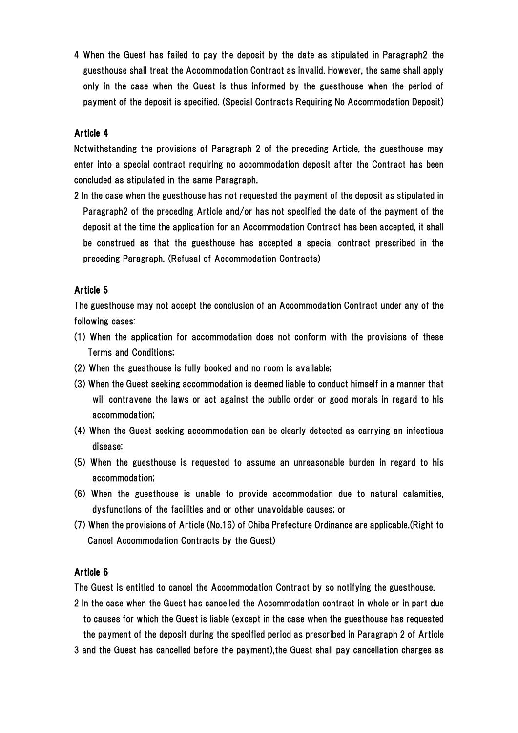4 When the Guest has failed to pay the deposit by the date as stipulated in Paragraph2 the guesthouse shall treat the Accommodation Contract as invalid. However, the same shall apply only in the case when the Guest is thus informed by the guesthouse when the period of payment of the deposit is specified. (Special Contracts Requiring No Accommodation Deposit)

## Article 4

Notwithstanding the provisions of Paragraph 2 of the preceding Article, the guesthouse may enter into a special contract requiring no accommodation deposit after the Contract has been concluded as stipulated in the same Paragraph.

2 In the case when the guesthouse has not requested the payment of the deposit as stipulated in Paragraph2 of the preceding Article and/or has not specified the date of the payment of the deposit at the time the application for an Accommodation Contract has been accepted, it shall be construed as that the guesthouse has accepted a special contract prescribed in the preceding Paragraph. (Refusal of Accommodation Contracts)

### Article 5

The guesthouse may not accept the conclusion of an Accommodation Contract under any of the following cases:

- (1) When the application for accommodation does not conform with the provisions of these Terms and Conditions;
- (2) When the guesthouse is fully booked and no room is available;
- (3) When the Guest seeking accommodation is deemed liable to conduct himself in a manner that will contravene the laws or act against the public order or good morals in regard to his accommodation;
- (4) When the Guest seeking accommodation can be clearly detected as carrying an infectious disease;
- (5) When the guesthouse is requested to assume an unreasonable burden in regard to his accommodation;
- (6) When the guesthouse is unable to provide accommodation due to natural calamities, dysfunctions of the facilities and or other unavoidable causes; or
- (7) When the provisions of Article (No.16) of Chiba Prefecture Ordinance are applicable.(Right to Cancel Accommodation Contracts by the Guest)

#### Article 6

The Guest is entitled to cancel the Accommodation Contract by so notifying the guesthouse.

- 2 In the case when the Guest has cancelled the Accommodation contract in whole or in part due to causes for which the Guest is liable (except in the case when the guesthouse has requested the payment of the deposit during the specified period as prescribed in Paragraph 2 of Article
- 3 and the Guest has cancelled before the payment),the Guest shall pay cancellation charges as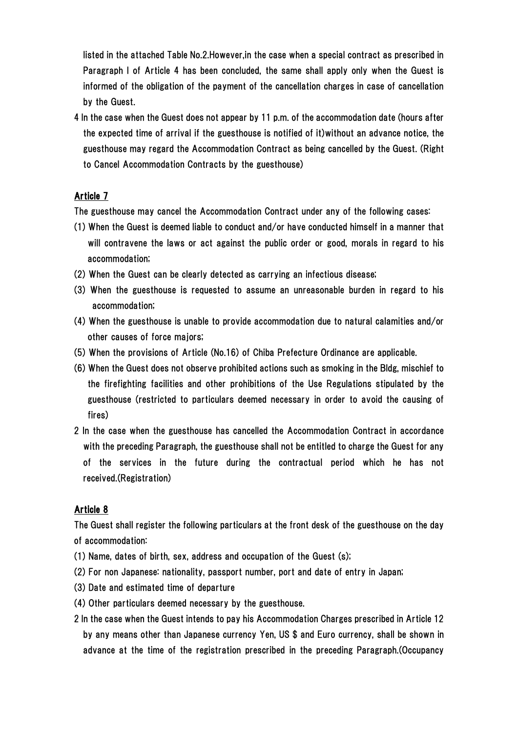listed in the attached Table No.2.However,in the case when a special contract as prescribed in Paragraph I of Article 4 has been concluded, the same shall apply only when the Guest is informed of the obligation of the payment of the cancellation charges in case of cancellation by the Guest.

4 In the case when the Guest does not appear by 11 p.m. of the accommodation date (hours after the expected time of arrival if the guesthouse is notified of it)without an advance notice, the guesthouse may regard the Accommodation Contract as being cancelled by the Guest. (Right to Cancel Accommodation Contracts by the guesthouse)

### Article 7

The guesthouse may cancel the Accommodation Contract under any of the following cases:

- (1) When the Guest is deemed liable to conduct and/or have conducted himself in a manner that will contravene the laws or act against the public order or good, morals in regard to his accommodation;
- (2) When the Guest can be clearly detected as carrying an infectious disease;
- (3) When the guesthouse is requested to assume an unreasonable burden in regard to his accommodation;
- (4) When the guesthouse is unable to provide accommodation due to natural calamities and/or other causes of force majors;
- (5) When the provisions of Article (No.16) of Chiba Prefecture Ordinance are applicable.
- (6) When the Guest does not observe prohibited actions such as smoking in the Bldg, mischief to the firefighting facilities and other prohibitions of the Use Regulations stipulated by the guesthouse (restricted to particulars deemed necessary in order to avoid the causing of fires)
- 2 In the case when the guesthouse has cancelled the Accommodation Contract in accordance with the preceding Paragraph, the guesthouse shall not be entitled to charge the Guest for any of the services in the future during the contractual period which he has not received.(Registration)

### Article 8

The Guest shall register the following particulars at the front desk of the guesthouse on the day of accommodation:

- (1) Name, dates of birth, sex, address and occupation of the Guest (s);
- (2) For non Japanese: nationality, passport number, port and date of entry in Japan;
- (3) Date and estimated time of departure
- (4) Other particulars deemed necessary by the guesthouse.
- 2 In the case when the Guest intends to pay his Accommodation Charges prescribed in Article 12 by any means other than Japanese currency Yen, US \$ and Euro currency, shall be shown in advance at the time of the registration prescribed in the preceding Paragraph.(Occupancy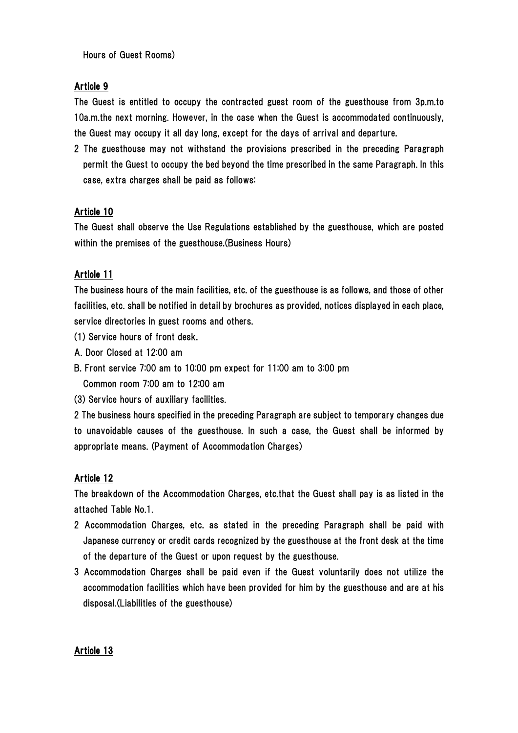Hours of Guest Rooms)

### Article 9

The Guest is entitled to occupy the contracted guest room of the guesthouse from 3p.m.to 10a.m.the next morning. However, in the case when the Guest is accommodated continuously, the Guest may occupy it all day long, except for the days of arrival and departure.

2 The guesthouse may not withstand the provisions prescribed in the preceding Paragraph permit the Guest to occupy the bed beyond the time prescribed in the same Paragraph. In this case, extra charges shall be paid as follows:

## Article 10

The Guest shall observe the Use Regulations established by the guesthouse, which are posted within the premises of the guesthouse.(Business Hours)

## Article 11

The business hours of the main facilities, etc. of the guesthouse is as follows, and those of other facilities, etc. shall be notified in detail by brochures as provided, notices displayed in each place, service directories in guest rooms and others.

(1) Service hours of front desk.

- A. Door Closed at 12:00 am
- B. Front service 7:00 am to 10:00 pm expect for 11:00 am to 3:00 pm
- Common room 7:00 am to 12:00 am
- (3) Service hours of auxiliary facilities.

2 The business hours specified in the preceding Paragraph are subject to temporary changes due to unavoidable causes of the guesthouse. In such a case, the Guest shall be informed by appropriate means. (Payment of Accommodation Charges)

### Article 12

The breakdown of the Accommodation Charges, etc.that the Guest shall pay is as listed in the attached Table No.1.

- 2 Accommodation Charges, etc. as stated in the preceding Paragraph shall be paid with Japanese currency or credit cards recognized by the guesthouse at the front desk at the time of the departure of the Guest or upon request by the guesthouse.
- 3 Accommodation Charges shall be paid even if the Guest voluntarily does not utilize the accommodation facilities which have been provided for him by the guesthouse and are at his disposal.(Liabilities of the guesthouse)

### Article 13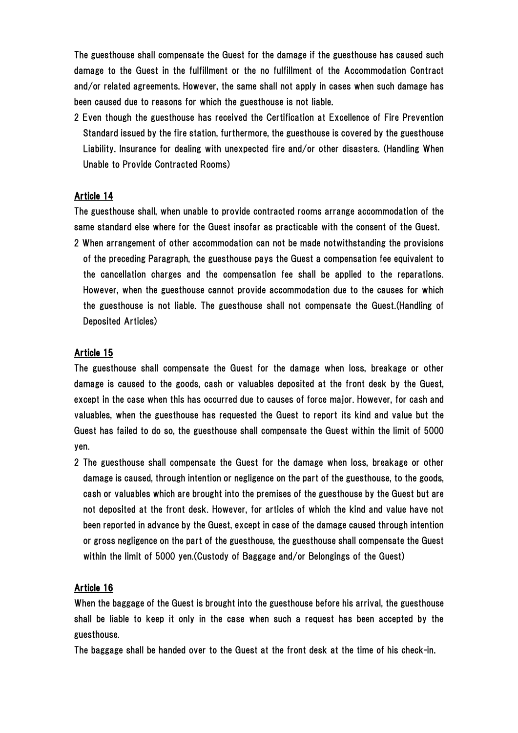The guesthouse shall compensate the Guest for the damage if the guesthouse has caused such damage to the Guest in the fulfillment or the no fulfillment of the Accommodation Contract and/or related agreements. However, the same shall not apply in cases when such damage has been caused due to reasons for which the guesthouse is not liable.

2 Even though the guesthouse has received the Certification at Excellence of Fire Prevention Standard issued by the fire station, furthermore, the guesthouse is covered by the guesthouse Liability. Insurance for dealing with unexpected fire and/or other disasters. (Handling When Unable to Provide Contracted Rooms)

### Article 14

The guesthouse shall, when unable to provide contracted rooms arrange accommodation of the same standard else where for the Guest insofar as practicable with the consent of the Guest.

2 When arrangement of other accommodation can not be made notwithstanding the provisions of the preceding Paragraph, the guesthouse pays the Guest a compensation fee equivalent to the cancellation charges and the compensation fee shall be applied to the reparations. However, when the guesthouse cannot provide accommodation due to the causes for which the guesthouse is not liable. The guesthouse shall not compensate the Guest.(Handling of Deposited Articles)

### Article 15

The guesthouse shall compensate the Guest for the damage when loss, breakage or other damage is caused to the goods, cash or valuables deposited at the front desk by the Guest, except in the case when this has occurred due to causes of force major. However, for cash and valuables, when the guesthouse has requested the Guest to report its kind and value but the Guest has failed to do so, the guesthouse shall compensate the Guest within the limit of 5000 yen.

2 The guesthouse shall compensate the Guest for the damage when loss, breakage or other damage is caused, through intention or negligence on the part of the guesthouse, to the goods, cash or valuables which are brought into the premises of the guesthouse by the Guest but are not deposited at the front desk. However, for articles of which the kind and value have not been reported in advance by the Guest, except in case of the damage caused through intention or gross negligence on the part of the guesthouse, the guesthouse shall compensate the Guest within the limit of 5000 yen.(Custody of Baggage and/or Belongings of the Guest)

## Article 16

When the baggage of the Guest is brought into the guesthouse before his arrival, the guesthouse shall be liable to keep it only in the case when such a request has been accepted by the guesthouse.

The baggage shall be handed over to the Guest at the front desk at the time of his check-in.